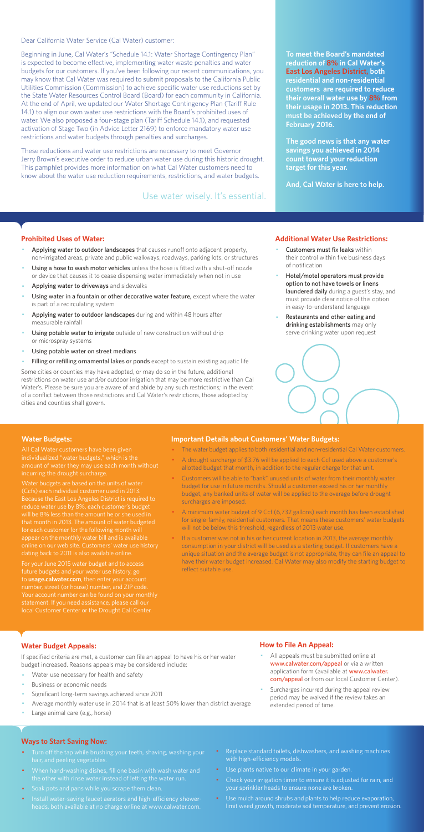Dear California Water Service (Cal Water) customer:

Beginning in June, Cal Water's "Schedule 14.1: Water Shortage Contingency Plan" is expected to become effective, implementing water waste penalties and water budgets for our customers. If you've been following our recent communications, you may know that Cal Water was required to submit proposals to the California Public Utilities Commission (Commission) to achieve specific water use reductions set by the State Water Resources Control Board (Board) for each community in California. At the end of April, we updated our Water Shortage Contingency Plan (Tariff Rule 14.1) to align our own water use restrictions with the Board's prohibited uses of water. We also proposed a four-stage plan (Tariff Schedule 14.1), and requested activation of Stage Two (in Advice Letter 2169) to enforce mandatory water use restrictions and water budgets through penalties and surcharges.

These reductions and water use restrictions are necessary to meet Governor Jerry Brown's executive order to reduce urban water use during this historic drought. This pamphlet provides more information on what Cal Water customers need to know about the water use reduction requirements, restrictions, and water budgets.

#### **Prohibited Uses of Water:**

- Applying water to outdoor landscapes that causes runoff onto adjacent property, non-irrigated areas, private and public walkways, roadways, parking lots, or structures
- Using a hose to wash motor vehicles unless the hose is fitted with a shut-off nozzle or device that causes it to cease dispensing water immediately when not in use
- Applying water to driveways and sidewalks
- Using water in a fountain or other decorative water feature, except where the water is part of a recirculating system
- Applying water to outdoor landscapes during and within 48 hours after measurable rainfall
- Using potable water to irrigate outside of new construction without drip or microspray systems
- Using potable water on street medians
- Filling or refilling ornamental lakes or ponds except to sustain existing aquatic life
- Customers must fix leaks within their control within five business days of notification
- Hotel/motel operators must provide option to not have towels or linens laundered daily during a guest's stay, and must provide clear notice of this option in easy-to-understand language
- Restaurants and other eating and drinking establishments may only serve drinking water upon request



- All appeals must be submitted online at www.calwater.com/appeal or via a written application form (available at www.calwater. com/appeal or from our local Customer Center).
- · Surcharges incurred during the appeal review period may be waived if the review takes an extended period of time.

Some cities or counties may have adopted, or may do so in the future, additional restrictions on water use and/or outdoor irrigation that may be more restrictive than Cal Water's. Please be sure you are aware of and abide by any such restrictions; in the event of a conflict between those restrictions and Cal Water's restrictions, those adopted by cities and counties shall govern.

- Turn off the tap while brushing your teeth, shaving, washing your hair, and peeling vegetables.
- · When hand-washing dishes, fill one basin with wash water and the other with rinse water instead of letting the water run.
- · Soak pots and pans while you scrape them clean.
- · Install water-saving faucet aerators and high-efficiency showerheads, both available at no charge online at www.calwater.com.
- Replace standard toilets, dishwashers, and washing machines with high-efficiency models.
- · Use plants native to our climate in your garden.
- Check your irrigation timer to ensure it is adjusted for rain, and your sprinkler heads to ensure none are broken.
- · Use mulch around shrubs and plants to help reduce evaporation, limit weed growth, moderate soil temperature, and prevent erosion.

**To meet the Board's mandated reduction of 8% in Cal Water's East Los Angeles District, both residential and non-residential customers are required to reduce their overall water use by 8% from their usage in 2013. This reduction must be achieved by the end of February 2016.** 

**The good news is that any water savings you achieved in 2014 count toward your reduction target for this year.** 

**And, Cal Water is here to help.** 

#### **Additional Water Use Restrictions:**

### **Water Budget Appeals:**

If specified criteria are met, a customer can file an appeal to have his or her water budget increased. Reasons appeals may be considered include:

- Water use necessary for health and safety
- Business or economic needs
- Significant long-term savings achieved since 2011
- Average monthly water use in 2014 that is at least 50% lower than district average
- Large animal care (e.g., horse)

If a customer was not in his or her current location in 2013, the average monthly consumption in your district will be used as a starting budget. If customers have a unique situation and the average budget is not appropriate, they can file an appeal to have their water budget increased. Cal Water may also modify the starting budget to reflect suitable use.

## **How to File An Appeal:**

#### **Ways to Start Saving Now:**

Use water wisely. It's essential.

#### **Water Budgets:**

individualized "water budgets," which is the incurring the drought surcharge.

Water budgets are based on the units of water Because the East Los Angeles District is required to reduce water use by 8%, each customer's budget will be 8% less than the amount he or she used in that month in 2013. The amount of water budgeted for each customer for the following month will appear on the monthly water bill and is available dating back to 2011 is also available online.

For your June 2015 water budget and to access future budgets and your water use history, go to **usage.calwater.com**, then enter your account number, street (or house) number, and ZIP code. local Customer Center or the Drought Call Center.

#### **Important Details about Customers' Water Budgets:**

- · The water budget applies to both residential and non-residential Cal Water customers.
- · A drought surcharge of \$3.76 will be applied to each Ccf used above a customer's allotted budget that month, in addition to the regular charge for that unit.
- · Customers will be able to "bank" unused units of water from their monthly water budget for use in future months. Should a customer exceed his or her monthly budget, any banked units of water will be applied to the overage before drought surcharges are imposed.
- · A minimum water budget of 9 Ccf (6,732 gallons) each month has been established for single-family, residential customers. That means these customers' water budgets will not be below this threshold, regardless of 2013 water use.